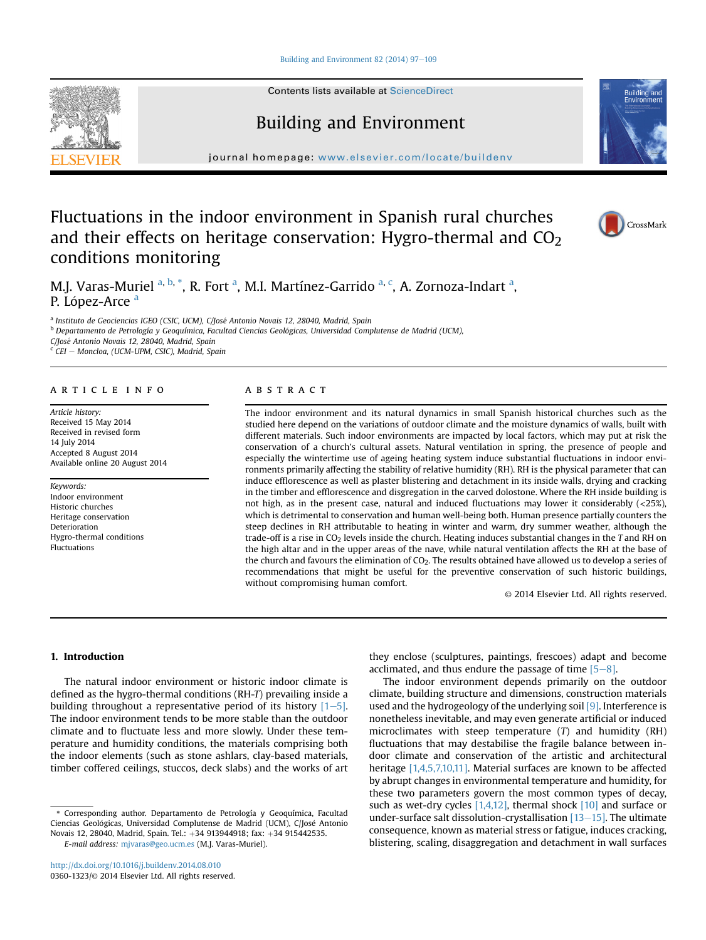Building and Environment 82 (2014)  $97-109$  $97-109$ 

Contents lists available at [ScienceDirect](www.sciencedirect.com/science/journal/03601323)

## Building and Environment

journal homepage: [www.elsevier.com/locate/buildenv](http://www.elsevier.com/locate/buildenv)

### Fluctuations in the indoor environment in Spanish rural churches and their effects on heritage conservation: Hygro-thermal and  $CO<sub>2</sub>$ conditions monitoring

M.J. Varas-Muriel <sup>a, b,</sup> \*, R. Fort <sup>a</sup>, M.I. Martínez-Garrido <sup>a, c</sup>, A. Zornoza-Indart <sup>a</sup>, P. López-Arce <sup>a</sup>

<sup>a</sup> Instituto de Geociencias IGEO (CSIC, UCM), C/José Antonio Novais 12, 28040, Madrid, Spain

<sup>b</sup> Departamento de Petrología y Geoquímica, Facultad Ciencias Geológicas, Universidad Complutense de Madrid (UCM),

C/José Antonio Novais 12, 28040, Madrid, Spain

 $\overline{c}$  CEI - Moncloa, (UCM-UPM, CSIC), Madrid, Spain

#### article info

Article history: Received 15 May 2014 Received in revised form 14 July 2014 Accepted 8 August 2014 Available online 20 August 2014

Keywords: Indoor environment Historic churches Heritage conservation Deterioration Hygro-thermal conditions Fluctuations

#### **ABSTRACT**

The indoor environment and its natural dynamics in small Spanish historical churches such as the studied here depend on the variations of outdoor climate and the moisture dynamics of walls, built with different materials. Such indoor environments are impacted by local factors, which may put at risk the conservation of a church's cultural assets. Natural ventilation in spring, the presence of people and especially the wintertime use of ageing heating system induce substantial fluctuations in indoor environments primarily affecting the stability of relative humidity (RH). RH is the physical parameter that can induce efflorescence as well as plaster blistering and detachment in its inside walls, drying and cracking in the timber and efflorescence and disgregation in the carved dolostone. Where the RH inside building is not high, as in the present case, natural and induced fluctuations may lower it considerably (<25%), which is detrimental to conservation and human well-being both. Human presence partially counters the steep declines in RH attributable to heating in winter and warm, dry summer weather, although the trade-off is a rise in CO<sub>2</sub> levels inside the church. Heating induces substantial changes in the T and RH on the high altar and in the upper areas of the nave, while natural ventilation affects the RH at the base of the church and favours the elimination of CO<sub>2</sub>. The results obtained have allowed us to develop a series of recommendations that might be useful for the preventive conservation of such historic buildings, without compromising human comfort.

© 2014 Elsevier Ltd. All rights reserved.

#### 1. Introduction

The natural indoor environment or historic indoor climate is defined as the hygro-thermal conditions (RH-T) prevailing inside a building throughout a representative period of its history  $[1-5]$ . The indoor environment tends to be more stable than the outdoor climate and to fluctuate less and more slowly. Under these temperature and humidity conditions, the materials comprising both the indoor elements (such as stone ashlars, clay-based materials, timber coffered ceilings, stuccos, deck slabs) and the works of art

\* Corresponding author. Departamento de Petrología y Geoquímica, Facultad Ciencias Geológicas, Universidad Complutense de Madrid (UCM), C/José Antonio Novais 12, 28040, Madrid, Spain. Tel.: +34 913944918; fax: +34 915442535.

E-mail address: [mjvaras@geo.ucm.es](mailto:mjvaras@geo.ucm.es) (M.J. Varas-Muriel).

they enclose (sculptures, paintings, frescoes) adapt and become acclimated, and thus endure the passage of time  $[5-8]$ .

The indoor environment depends primarily on the outdoor climate, building structure and dimensions, construction materials used and the hydrogeology of the underlying soil  $[9]$ . Interference is nonetheless inevitable, and may even generate artificial or induced microclimates with steep temperature (T) and humidity (RH) fluctuations that may destabilise the fragile balance between indoor climate and conservation of the artistic and architectural heritage [1,4,5,7,10,11]. Material surfaces are known to be affected by abrupt changes in environmental temperature and humidity, for these two parameters govern the most common types of decay, such as wet-dry cycles [1,4,12], thermal shock [10] and surface or under-surface salt dissolution-crystallisation  $[13-15]$ . The ultimate consequence, known as material stress or fatigue, induces cracking, blistering, scaling, disaggregation and detachment in wall surfaces





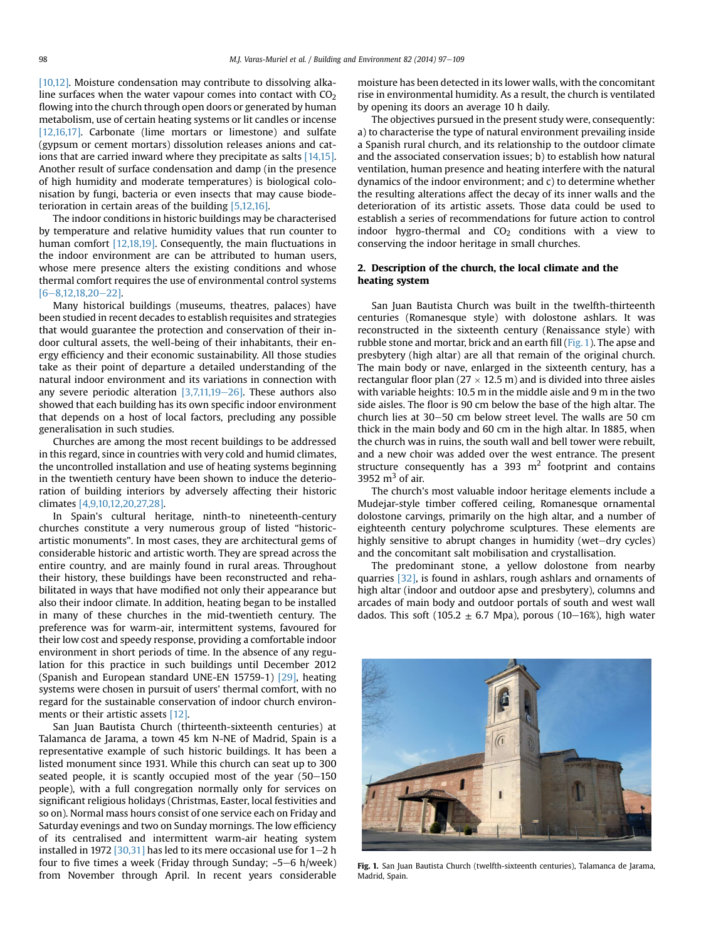[10,12]. Moisture condensation may contribute to dissolving alkaline surfaces when the water vapour comes into contact with  $CO<sub>2</sub>$ flowing into the church through open doors or generated by human metabolism, use of certain heating systems or lit candles or incense [12,16,17]. Carbonate (lime mortars or limestone) and sulfate (gypsum or cement mortars) dissolution releases anions and cations that are carried inward where they precipitate as salts [14,15]. Another result of surface condensation and damp (in the presence of high humidity and moderate temperatures) is biological colonisation by fungi, bacteria or even insects that may cause biodeterioration in certain areas of the building [5,12,16].

The indoor conditions in historic buildings may be characterised by temperature and relative humidity values that run counter to human comfort [12,18,19]. Consequently, the main fluctuations in the indoor environment are can be attributed to human users, whose mere presence alters the existing conditions and whose thermal comfort requires the use of environmental control systems  $[6 - 8.12.18.20 - 22]$ 

Many historical buildings (museums, theatres, palaces) have been studied in recent decades to establish requisites and strategies that would guarantee the protection and conservation of their indoor cultural assets, the well-being of their inhabitants, their energy efficiency and their economic sustainability. All those studies take as their point of departure a detailed understanding of the natural indoor environment and its variations in connection with any severe periodic alteration  $[3,7,11,19-26]$ . These authors also showed that each building has its own specific indoor environment that depends on a host of local factors, precluding any possible generalisation in such studies.

Churches are among the most recent buildings to be addressed in this regard, since in countries with very cold and humid climates, the uncontrolled installation and use of heating systems beginning in the twentieth century have been shown to induce the deterioration of building interiors by adversely affecting their historic climates [4,9,10,12,20,27,28].

In Spain's cultural heritage, ninth-to nineteenth-century churches constitute a very numerous group of listed "historicartistic monuments". In most cases, they are architectural gems of considerable historic and artistic worth. They are spread across the entire country, and are mainly found in rural areas. Throughout their history, these buildings have been reconstructed and rehabilitated in ways that have modified not only their appearance but also their indoor climate. In addition, heating began to be installed in many of these churches in the mid-twentieth century. The preference was for warm-air, intermittent systems, favoured for their low cost and speedy response, providing a comfortable indoor environment in short periods of time. In the absence of any regulation for this practice in such buildings until December 2012 (Spanish and European standard UNE-EN 15759-1) [29], heating systems were chosen in pursuit of users' thermal comfort, with no regard for the sustainable conservation of indoor church environments or their artistic assets [12].

San Juan Bautista Church (thirteenth-sixteenth centuries) at Talamanca de Jarama, a town 45 km N-NE of Madrid, Spain is a representative example of such historic buildings. It has been a listed monument since 1931. While this church can seat up to 300 seated people, it is scantly occupied most of the year  $(50-150)$ people), with a full congregation normally only for services on significant religious holidays (Christmas, Easter, local festivities and so on). Normal mass hours consist of one service each on Friday and Saturday evenings and two on Sunday mornings. The low efficiency of its centralised and intermittent warm-air heating system installed in 1972 [30,31] has led to its mere occasional use for  $1-2$  h four to five times a week (Friday through Sunday;  $~5-6$  h/week) from November through April. In recent years considerable moisture has been detected in its lower walls, with the concomitant rise in environmental humidity. As a result, the church is ventilated by opening its doors an average 10 h daily.

The objectives pursued in the present study were, consequently: a) to characterise the type of natural environment prevailing inside a Spanish rural church, and its relationship to the outdoor climate and the associated conservation issues; b) to establish how natural ventilation, human presence and heating interfere with the natural dynamics of the indoor environment; and c) to determine whether the resulting alterations affect the decay of its inner walls and the deterioration of its artistic assets. Those data could be used to establish a series of recommendations for future action to control indoor hygro-thermal and  $CO<sub>2</sub>$  conditions with a view to conserving the indoor heritage in small churches.

#### 2. Description of the church, the local climate and the heating system

San Juan Bautista Church was built in the twelfth-thirteenth centuries (Romanesque style) with dolostone ashlars. It was reconstructed in the sixteenth century (Renaissance style) with rubble stone and mortar, brick and an earth fill (Fig. 1). The apse and presbytery (high altar) are all that remain of the original church. The main body or nave, enlarged in the sixteenth century, has a rectangular floor plan  $(27 \times 12.5 \text{ m})$  and is divided into three aisles with variable heights: 10.5 m in the middle aisle and 9 m in the two side aisles. The floor is 90 cm below the base of the high altar. The church lies at  $30-50$  cm below street level. The walls are  $50$  cm thick in the main body and 60 cm in the high altar. In 1885, when the church was in ruins, the south wall and bell tower were rebuilt, and a new choir was added over the west entrance. The present structure consequently has a 393  $m<sup>2</sup>$  footprint and contains 3952  $m<sup>3</sup>$  of air.

The church's most valuable indoor heritage elements include a Mudejar-style timber coffered ceiling, Romanesque ornamental dolostone carvings, primarily on the high altar, and a number of eighteenth century polychrome sculptures. These elements are highly sensitive to abrupt changes in humidity (wet-dry cycles) and the concomitant salt mobilisation and crystallisation.

The predominant stone, a yellow dolostone from nearby quarries [32], is found in ashlars, rough ashlars and ornaments of high altar (indoor and outdoor apse and presbytery), columns and arcades of main body and outdoor portals of south and west wall dados. This soft (105.2  $\pm$  6.7 Mpa), porous (10–16%), high water



Fig. 1. San Juan Bautista Church (twelfth-sixteenth centuries), Talamanca de Jarama, Madrid, Spain.